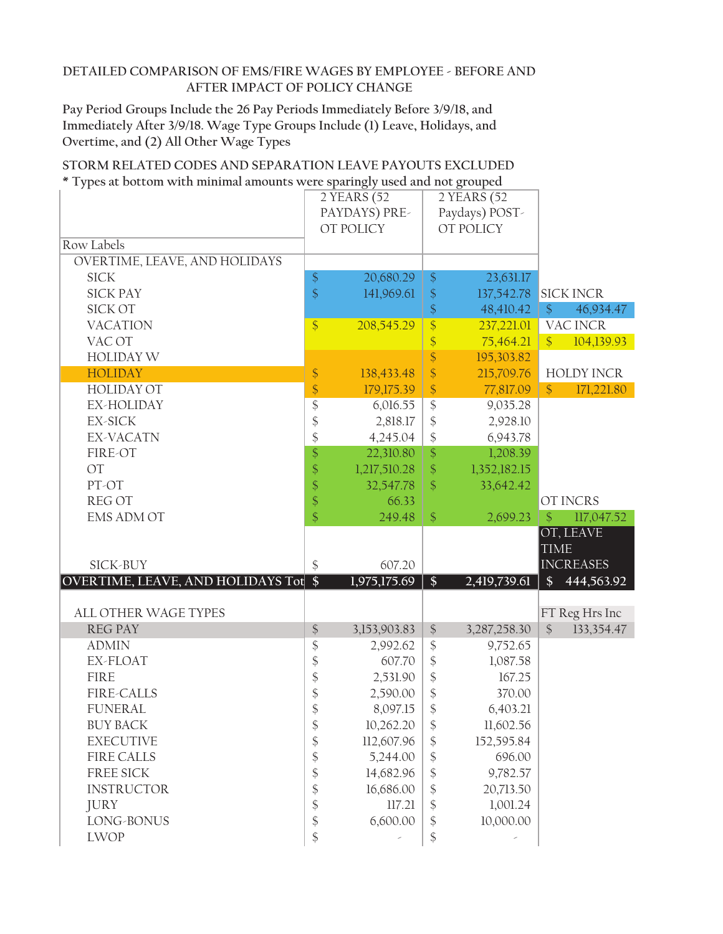## **DETAILED COMPARISON OF EMS/FIRE WAGES BY EMPLOYEE - BEFORE AND AFTER IMPACT OF POLICY CHANGE**

**Pay Period Groups Include the 26 Pay Periods Immediately Before 3/9/18, and Immediately After 3/9/18. Wage Type Groups Include (1) Leave, Holidays, and Overtime, and (2) All Other Wage Types**

## **STORM RELATED CODES AND SEPARATION LEAVE PAYOUTS EXCLUDED \* Types at bottom with minimal amounts were sparingly used and not grouped**

|                                             |                   | 2 YEARS (52  |                            | rypes de boecom wich imminida amounts were sparingly document not grouped<br>2 YEARS (52 |                                    |
|---------------------------------------------|-------------------|--------------|----------------------------|------------------------------------------------------------------------------------------|------------------------------------|
|                                             | PAYDAYS) PRE-     |              | Paydays) POST-             |                                                                                          |                                    |
|                                             | OT POLICY         |              | OT POLICY                  |                                                                                          |                                    |
| Row Labels                                  |                   |              |                            |                                                                                          |                                    |
| <b>OVERTIME, LEAVE, AND HOLIDAYS</b>        |                   |              |                            |                                                                                          |                                    |
| <b>SICK</b>                                 | $\frac{1}{2}$     | 20,680.29    | $\frac{1}{2}$              | 23,631.17                                                                                |                                    |
| <b>SICK PAY</b>                             | $\frac{1}{2}$     | 141,969.61   | $\frac{1}{2}$              | 137,542.78                                                                               | <b>SICK INCR</b>                   |
| SICK OT                                     |                   |              | $\frac{1}{2}$              | 48,410.42                                                                                | $\sqrt$<br>46,934.47               |
| <b>VACATION</b>                             | $\frac{1}{2}$     | 208,545.29   | $\overline{\$}$            | 237,221.01                                                                               | VAC INCR                           |
| VAC OT                                      |                   |              | \$                         | 75,464.21                                                                                | $\mathcal{S}$<br>104,139.93        |
| <b>HOLIDAY W</b>                            |                   |              | $\frac{1}{2}$              | 195,303.82                                                                               |                                    |
| <b>HOLIDAY</b>                              | $\boldsymbol{\$}$ | 138,433.48   | $\frac{1}{2}$              | 215,709.76                                                                               | <b>HOLDY INCR</b>                  |
| <b>HOLIDAY OT</b>                           | $\frac{1}{2}$     | 179,175.39   | $\frac{1}{2}$              | 77,817.09                                                                                | $\frac{1}{2}$<br>171,221.80        |
| EX-HOLIDAY                                  | $\overline{\$}$   | 6,016.55     | $\frac{1}{2}$              | 9,035.28                                                                                 |                                    |
| EX-SICK                                     | \$                | 2,818.17     | $\boldsymbol{\mathsf{\$}}$ | 2,928.10                                                                                 |                                    |
| EX-VACATN                                   | \$                | 4,245.04     | $\boldsymbol{\mathsf{\$}}$ | 6,943.78                                                                                 |                                    |
| FIRE-OT                                     | $\frac{1}{2}$     | 22,310.80    | $\sqrt{\ }$                | 1,208.39                                                                                 |                                    |
| OT                                          | $\frac{1}{2}$     | 1,217,510.28 | $\frac{1}{2}$              | 1,352,182.15                                                                             |                                    |
| PT-OT                                       | $\frac{1}{2}$     | 32,547.78    | $\frac{1}{2}$              | 33,642.42                                                                                |                                    |
| <b>REG OT</b>                               | \$                | 66.33        |                            |                                                                                          | OT INCRS                           |
| <b>EMS ADM OT</b>                           | \$                | 249.48       | $\frac{1}{2}$              | 2,699.23                                                                                 | $\sqrt{\frac{2}{2}}$<br>117,047.52 |
|                                             |                   |              |                            |                                                                                          | OT, LEAVE                          |
|                                             |                   |              |                            |                                                                                          |                                    |
|                                             |                   |              |                            |                                                                                          | <b>TIME</b>                        |
| SICK-BUY                                    | \$                | 607.20       |                            |                                                                                          | <b>INCREASES</b>                   |
| <b>OVERTIME, LEAVE, AND HOLIDAYS Tot \$</b> |                   | 1,975,175.69 | $\frac{1}{2}$              | 2,419,739.61                                                                             | $\mathsf{\$}$<br>444,563.92        |
|                                             |                   |              |                            |                                                                                          |                                    |
| ALL OTHER WAGE TYPES                        |                   |              |                            |                                                                                          | FT Reg Hrs Inc                     |
| <b>REG PAY</b>                              | $\frac{1}{2}$     | 3,153,903.83 | $\frac{1}{2}$              | 3,287,258.30                                                                             | $\frac{1}{2}$<br>133,354.47        |
| <b>ADMIN</b>                                | \$                | 2,992.62     | $\boldsymbol{\$}$          | 9,752.65                                                                                 |                                    |
| EX-FLOAT                                    | \$                | 607.70       | $\boldsymbol{\mathsf{\$}}$ | 1,087.58                                                                                 |                                    |
| <b>FIRE</b>                                 | \$                | 2,531.90     | $\boldsymbol{\$}$          | 167.25                                                                                   |                                    |
| <b>FIRE-CALLS</b>                           | \$                | 2,590.00     | $\boldsymbol{\$}$          | 370.00                                                                                   |                                    |
| <b>FUNERAL</b>                              | \$                | 8,097.15     | $\mathcal{S}$              | 6,403.21                                                                                 |                                    |
| <b>BUY BACK</b>                             | \$                | 10,262.20    | $\boldsymbol{\hat{\phi}}$  | 11,602.56                                                                                |                                    |
| <b>EXECUTIVE</b>                            | \$                | 112,607.96   | $\boldsymbol{\mathsf{\$}}$ | 152,595.84                                                                               |                                    |
| <b>FIRE CALLS</b>                           | \$                | 5,244.00     | $\boldsymbol{\mathsf{\$}}$ | 696.00                                                                                   |                                    |
| <b>FREE SICK</b>                            | \$                | 14,682.96    | $\boldsymbol{\$}$          | 9,782.57                                                                                 |                                    |
| <b>INSTRUCTOR</b>                           | \$                | 16,686.00    | $\boldsymbol{\$}$          | 20,713.50                                                                                |                                    |
| <b>JURY</b>                                 | \$                | 117.21       | $\boldsymbol{\$}$          | 1,001.24                                                                                 |                                    |
| LONG-BONUS<br><b>LWOP</b>                   | \$<br>\$          | 6,600.00     | \$                         | 10,000.00                                                                                |                                    |